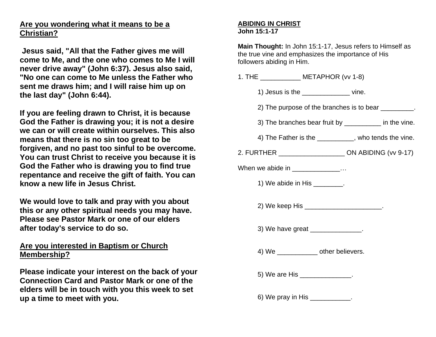## **Are you wondering what it means to be a Christian?**

**Jesus said, "All that the Father gives me will come to Me, and the one who comes to Me I will never drive away" (John 6:37). Jesus also said, "No one can come to Me unless the Father who sent me draws him; and I will raise him up on the last day" (John 6:44).**

**If you are feeling drawn to Christ, it is because God the Father is drawing you; it is not a desire we can or will create within ourselves. This also means that there is no sin too great to be forgiven, and no past too sinful to be overcome. You can trust Christ to receive you because it is God the Father who is drawing you to find true repentance and receive the gift of faith. You can know a new life in Jesus Christ.**

**We would love to talk and pray with you about this or any other spiritual needs you may have. Please see Pastor Mark or one of our elders after today's service to do so.**

## **Are you interested in Baptism or Church Membership?**

**Please indicate your interest on the back of your Connection Card and Pastor Mark or one of the elders will be in touch with you this week to set up a time to meet with you.**

## **ABIDING IN CHRIST John 15:1-17**

**Main Thought:** In John 15:1-17, Jesus refers to Himself as the true vine and emphasizes the importance of His followers abiding in Him.

1. THE METAPHOR (vv 1-8) 1) Jesus is the \_\_\_\_\_\_\_\_\_\_\_\_\_ vine. 2) The purpose of the branches is to bear \_\_\_\_\_\_\_\_\_. 3) The branches bear fruit by **Example 2** in the vine. 4) The Father is the \_\_\_\_\_\_\_\_\_, who tends the vine. 2. FURTHER \_\_\_\_\_\_\_\_\_\_\_\_\_\_\_\_\_\_ ON ABIDING (vv 9-17) When we abide in \_\_\_\_\_\_\_\_\_\_\_\_\_\_\_... 1) We abide in His Theorem 1 2) We keep His \_\_\_\_\_\_\_\_\_\_\_\_\_\_\_\_\_\_\_\_\_\_. 3) We have great the control of the state of the state of the state of the state of the state of the state of the state of the state of the state of the state of the state of the state of the state of the state of the stat 4) We \_\_\_\_\_\_\_\_\_\_\_ other believers. 5) We are His the set of the set of the set of the set of the set of the set of the set of the set of the set o 6) We pray in His \_\_\_\_\_\_\_\_\_\_\_.